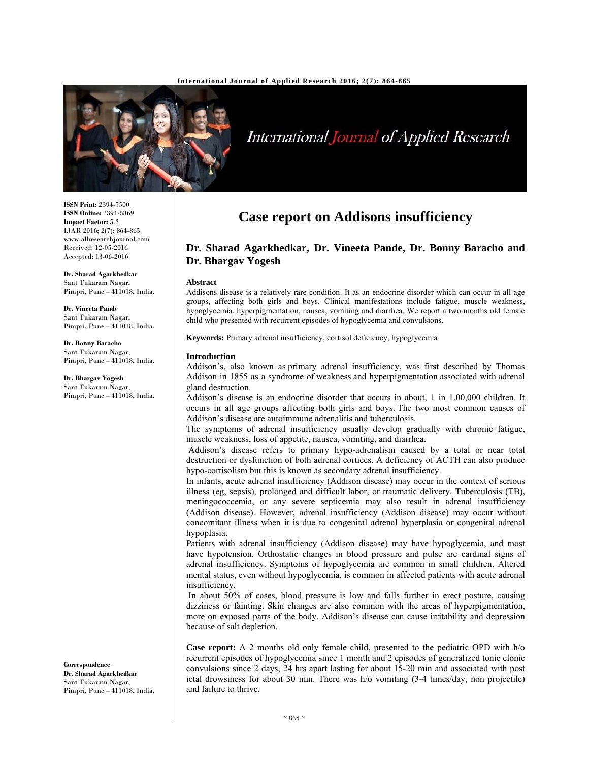

# International Journal of Applied Research

**ISSN Print:** 2394-7500 **ISSN Online:** 2394-5869 **Impact Factor:** 5.2 IJAR 2016; 2(7): 864-865 www.allresearchjournal.com Received: 12-05-2016 Accepted: 13-06-2016

**Dr. Sharad Agarkhedkar**  Sant Tukaram Nagar, Pimpri, Pune – 411018, India.

**Dr. Vineeta Pande**  Sant Tukaram Nagar, Pimpri, Pune - 411018, India.

**Dr. Bonny Baracho**  Sant Tukaram Nagar, Pimpri, Pune – 411018, India.

**Dr. Bhargav Yogesh**  Sant Tukaram Nagar, Pimpri, Pune – 411018, India.

**Correspondence Dr. Sharad Agarkhedkar**  Sant Tukaram Nagar, Pimpri, Pune – 411018, India.

## **Case report on Addisons insufficiency**

### **Dr. Sharad Agarkhedkar, Dr. Vineeta Pande, Dr. Bonny Baracho and Dr. Bhargav Yogesh**

#### **Abstract**

Addisons disease is a relatively rare condition. It as an endocrine disorder which can occur in all age groups, affecting both girls and boys. Clinical manifestations include fatigue, muscle weakness, hypoglycemia, hyperpigmentation, nausea, vomiting and diarrhea. We report a two months old female child who presented with recurrent episodes of hypoglycemia and convulsions.

**Keywords:** Primary adrenal insufficiency, cortisol deficiency, hypoglycemia

#### **Introduction**

Addison's, also known as primary adrenal insufficiency, was first described by Thomas Addison in 1855 as a syndrome of weakness and hyperpigmentation associated with adrenal gland destruction.

Addison's disease is an endocrine disorder that occurs in about, 1 in 1,00,000 children. It occurs in all age groups affecting both girls and boys. The two most common causes of Addison's disease are autoimmune adrenalitis and tuberculosis.

The symptoms of adrenal insufficiency usually develop gradually with chronic fatigue, muscle weakness, loss of appetite, nausea, vomiting, and diarrhea.

 Addison's disease refers to primary hypo-adrenalism caused by a total or near total destruction or dysfunction of both adrenal cortices. A deficiency of ACTH can also produce hypo-cortisolism but this is known as secondary adrenal insufficiency.

In infants, acute adrenal insufficiency (Addison disease) may occur in the context of serious illness (eg, sepsis), prolonged and difficult labor, or traumatic delivery. Tuberculosis (TB), meningococcemia, or any severe septicemia may also result in adrenal insufficiency (Addison disease). However, adrenal insufficiency (Addison disease) may occur without concomitant illness when it is due to congenital adrenal hyperplasia or congenital adrenal hypoplasia.

Patients with adrenal insufficiency (Addison disease) may have hypoglycemia, and most have hypotension. Orthostatic changes in blood pressure and pulse are cardinal signs of adrenal insufficiency. Symptoms of hypoglycemia are common in small children. Altered mental status, even without hypoglycemia, is common in affected patients with acute adrenal insufficiency.

 In about 50% of cases, blood pressure is low and falls further in erect posture, causing dizziness or fainting. Skin changes are also common with the areas of hyperpigmentation, more on exposed parts of the body. Addison's disease can cause irritability and depression because of salt depletion.

**Case report:** A 2 months old only female child, presented to the pediatric OPD with h/o recurrent episodes of hypoglycemia since 1 month and 2 episodes of generalized tonic clonic convulsions since 2 days, 24 hrs apart lasting for about 15-20 min and associated with post ictal drowsiness for about 30 min. There was h/o vomiting (3-4 times/day, non projectile) and failure to thrive.